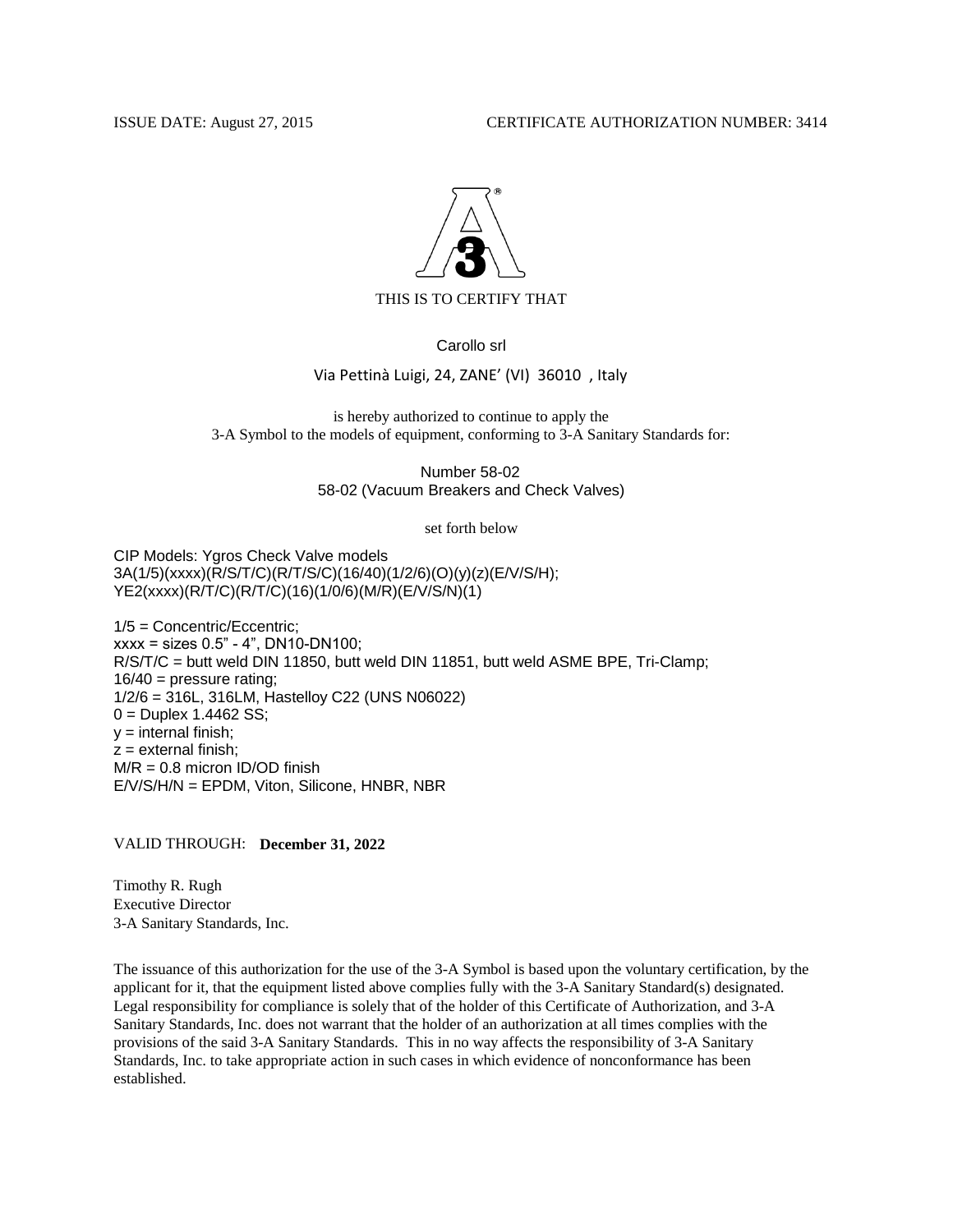## ISSUE DATE: August 27, 2015 CERTIFICATE AUTHORIZATION NUMBER: 3414



THIS IS TO CERTIFY THAT

Carollo srl

## Via Pettinà Luigi, 24, ZANE' (VI) 36010 , Italy

is hereby authorized to continue to apply the 3-A Symbol to the models of equipment, conforming to 3-A Sanitary Standards for:

> 58-02 (Vacuum Breakers and Check Valves) Number 58-02

> > set forth below

CIP Models: Ygros Check Valve models 3A(1/5)(xxxx)(R/S/T/C)(R/T/S/C)(16/40)(1/2/6)(O)(y)(z)(E/V/S/H); YE2(xxxx)(R/T/C)(R/T/C)(16)(1/0/6)(M/R)(E/V/S/N)(1)

1/5 = Concentric/Eccentric; xxxx = sizes 0.5" - 4", DN10-DN100; R/S/T/C = butt weld DIN 11850, butt weld DIN 11851, butt weld ASME BPE, Tri-Clamp;  $16/40$  = pressure rating; 1/2/6 = 316L, 316LM, Hastelloy C22 (UNS N06022)  $0 =$  Duplex 1.4462 SS;  $y =$  internal finish;  $z =$  external finish;  $M/R = 0.8$  micron ID/OD finish E/V/S/H/N = EPDM, Viton, Silicone, HNBR, NBR

## VALID THROUGH: **December 31, 2022**

Timothy R. Rugh Executive Director 3-A Sanitary Standards, Inc.

The issuance of this authorization for the use of the 3-A Symbol is based upon the voluntary certification, by the applicant for it, that the equipment listed above complies fully with the 3-A Sanitary Standard(s) designated. Legal responsibility for compliance is solely that of the holder of this Certificate of Authorization, and 3-A Sanitary Standards, Inc. does not warrant that the holder of an authorization at all times complies with the provisions of the said 3-A Sanitary Standards. This in no way affects the responsibility of 3-A Sanitary Standards, Inc. to take appropriate action in such cases in which evidence of nonconformance has been established.